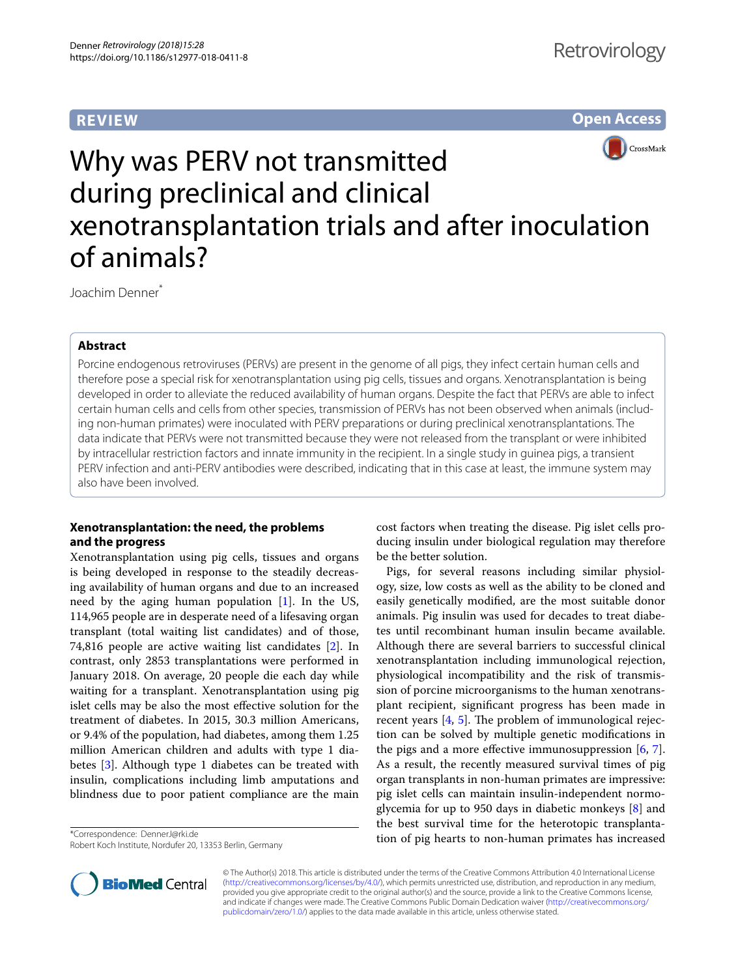# **REVIEW**





# Why was PERV not transmitted during preclinical and clinical xenotransplantation trials and after inoculation of animals?

Joachim Denner\*

# **Abstract**

Porcine endogenous retroviruses (PERVs) are present in the genome of all pigs, they infect certain human cells and therefore pose a special risk for xenotransplantation using pig cells, tissues and organs. Xenotransplantation is being developed in order to alleviate the reduced availability of human organs. Despite the fact that PERVs are able to infect certain human cells and cells from other species, transmission of PERVs has not been observed when animals (including non-human primates) were inoculated with PERV preparations or during preclinical xenotransplantations. The data indicate that PERVs were not transmitted because they were not released from the transplant or were inhibited by intracellular restriction factors and innate immunity in the recipient. In a single study in guinea pigs, a transient PERV infection and anti-PERV antibodies were described, indicating that in this case at least, the immune system may also have been involved.

# **Xenotransplantation: the need, the problems and the progress**

Xenotransplantation using pig cells, tissues and organs is being developed in response to the steadily decreasing availability of human organs and due to an increased need by the aging human population [[1](#page-5-0)]. In the US, 114,965 people are in desperate need of a lifesaving organ transplant (total waiting list candidates) and of those, 74,816 people are active waiting list candidates [\[2](#page-5-1)]. In contrast, only 2853 transplantations were performed in January 2018. On average, 20 people die each day while waiting for a transplant. Xenotransplantation using pig islet cells may be also the most efective solution for the treatment of diabetes. In 2015, 30.3 million Americans, or 9.4% of the population, had diabetes, among them 1.25 million American children and adults with type 1 diabetes [[3\]](#page-5-2). Although type 1 diabetes can be treated with insulin, complications including limb amputations and blindness due to poor patient compliance are the main

\*Correspondence: DennerJ@rki.de

Robert Koch Institute, Nordufer 20, 13353 Berlin, Germany

cost factors when treating the disease. Pig islet cells producing insulin under biological regulation may therefore be the better solution.

Pigs, for several reasons including similar physiology, size, low costs as well as the ability to be cloned and easily genetically modifed, are the most suitable donor animals. Pig insulin was used for decades to treat diabetes until recombinant human insulin became available. Although there are several barriers to successful clinical xenotransplantation including immunological rejection, physiological incompatibility and the risk of transmission of porcine microorganisms to the human xenotransplant recipient, signifcant progress has been made in recent years  $[4, 5]$  $[4, 5]$  $[4, 5]$  $[4, 5]$ . The problem of immunological rejection can be solved by multiple genetic modifcations in the pigs and a more effective immunosuppression  $[6, 7]$  $[6, 7]$  $[6, 7]$  $[6, 7]$ . As a result, the recently measured survival times of pig organ transplants in non-human primates are impressive: pig islet cells can maintain insulin-independent normoglycemia for up to 950 days in diabetic monkeys [\[8](#page-6-0)] and the best survival time for the heterotopic transplantation of pig hearts to non-human primates has increased



© The Author(s) 2018. This article is distributed under the terms of the Creative Commons Attribution 4.0 International License [\(http://creativecommons.org/licenses/by/4.0/\)](http://creativecommons.org/licenses/by/4.0/), which permits unrestricted use, distribution, and reproduction in any medium, provided you give appropriate credit to the original author(s) and the source, provide a link to the Creative Commons license, and indicate if changes were made. The Creative Commons Public Domain Dedication waiver ([http://creativecommons.org/](http://creativecommons.org/publicdomain/zero/1.0/) [publicdomain/zero/1.0/](http://creativecommons.org/publicdomain/zero/1.0/)) applies to the data made available in this article, unless otherwise stated.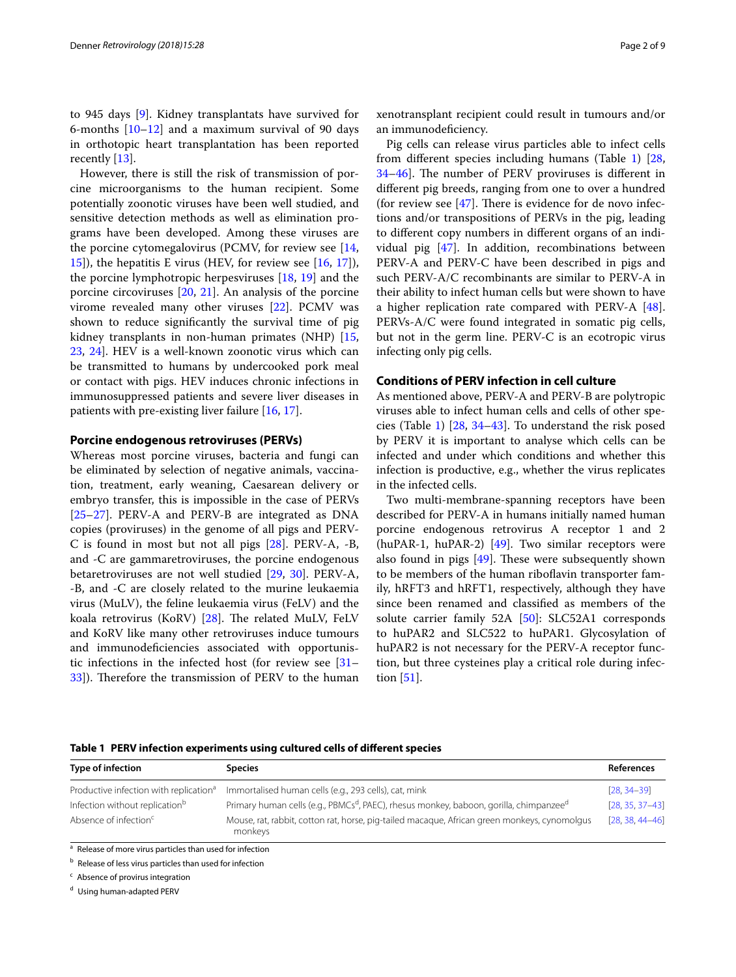to 945 days [[9\]](#page-6-1). Kidney transplantats have survived for 6-months  $[10-12]$  $[10-12]$  $[10-12]$  and a maximum survival of 90 days in orthotopic heart transplantation has been reported recently [[13\]](#page-6-4).

However, there is still the risk of transmission of porcine microorganisms to the human recipient. Some potentially zoonotic viruses have been well studied, and sensitive detection methods as well as elimination programs have been developed. Among these viruses are the porcine cytomegalovirus (PCMV, for review see [\[14](#page-6-5), [15\]](#page-6-6)), the hepatitis E virus (HEV, for review see [[16,](#page-6-7) [17\]](#page-6-8)), the porcine lymphotropic herpesviruses [\[18,](#page-6-9) [19](#page-6-10)] and the porcine circoviruses [[20,](#page-6-11) [21](#page-6-12)]. An analysis of the porcine virome revealed many other viruses [\[22](#page-6-13)]. PCMV was shown to reduce signifcantly the survival time of pig kidney transplants in non-human primates (NHP) [\[15](#page-6-6), [23,](#page-6-14) [24](#page-6-15)]. HEV is a well-known zoonotic virus which can be transmitted to humans by undercooked pork meal or contact with pigs. HEV induces chronic infections in immunosuppressed patients and severe liver diseases in patients with pre-existing liver failure [\[16,](#page-6-7) [17](#page-6-8)].

## **Porcine endogenous retroviruses (PERVs)**

Whereas most porcine viruses, bacteria and fungi can be eliminated by selection of negative animals, vaccination, treatment, early weaning, Caesarean delivery or embryo transfer, this is impossible in the case of PERVs [[25–](#page-6-16)[27](#page-6-17)]. PERV-A and PERV-B are integrated as DNA copies (proviruses) in the genome of all pigs and PERV-C is found in most but not all pigs [\[28](#page-6-18)]. PERV-A, -B, and -C are gammaretroviruses, the porcine endogenous betaretroviruses are not well studied [[29,](#page-6-19) [30\]](#page-6-20). PERV-A, -B, and -C are closely related to the murine leukaemia virus (MuLV), the feline leukaemia virus (FeLV) and the koala retrovirus (KoRV) [\[28](#page-6-18)]. The related MuLV, FeLV and KoRV like many other retroviruses induce tumours and immunodefciencies associated with opportunistic infections in the infected host (for review see [[31–](#page-6-21) [33\]](#page-6-22)). Therefore the transmission of PERV to the human xenotransplant recipient could result in tumours and/or an immunodefciency.

Pig cells can release virus particles able to infect cells from diferent species including humans (Table [1\)](#page-1-0) [[28](#page-6-18), [34](#page-6-23)[–46](#page-6-24)]. The number of PERV proviruses is different in diferent pig breeds, ranging from one to over a hundred (for review see  $[47]$  $[47]$ . There is evidence for de novo infections and/or transpositions of PERVs in the pig, leading to diferent copy numbers in diferent organs of an individual pig [[47\]](#page-6-25). In addition, recombinations between PERV-A and PERV-C have been described in pigs and such PERV-A/C recombinants are similar to PERV-A in their ability to infect human cells but were shown to have a higher replication rate compared with PERV-A [\[48](#page-6-26)]. PERVs-A/C were found integrated in somatic pig cells, but not in the germ line. PERV-C is an ecotropic virus infecting only pig cells.

## **Conditions of PERV infection in cell culture**

As mentioned above, PERV-A and PERV-B are polytropic viruses able to infect human cells and cells of other species (Table [1](#page-1-0)) [[28](#page-6-18), [34–](#page-6-23)[43](#page-6-27)]. To understand the risk posed by PERV it is important to analyse which cells can be infected and under which conditions and whether this infection is productive, e.g., whether the virus replicates in the infected cells.

Two multi-membrane-spanning receptors have been described for PERV-A in humans initially named human porcine endogenous retrovirus A receptor 1 and 2 (huPAR-1, huPAR-2) [\[49\]](#page-6-28). Two similar receptors were also found in pigs  $[49]$  $[49]$ . These were subsequently shown to be members of the human ribofavin transporter family, hRFT3 and hRFT1, respectively, although they have since been renamed and classifed as members of the solute carrier family 52A [\[50](#page-6-29)]: SLC52A1 corresponds to huPAR2 and SLC522 to huPAR1. Glycosylation of huPAR2 is not necessary for the PERV-A receptor function, but three cysteines play a critical role during infection [[51\]](#page-6-30).

<span id="page-1-0"></span>**Table 1 PERV infection experiments using cultured cells of diferent species**

| <b>Type of infection</b>                                             | <b>Species</b>                                                                                                 | <b>References</b>   |
|----------------------------------------------------------------------|----------------------------------------------------------------------------------------------------------------|---------------------|
| Productive infection with replication <sup>a</sup>                   | Immortalised human cells (e.g., 293 cells), cat, mink                                                          | $[28, 34 - 39]$     |
| Infection without replication <sup>b</sup>                           | Primary human cells (e.g., PBMCs <sup>d</sup> , PAEC), rhesus monkey, baboon, gorilla, chimpanzee <sup>d</sup> | $[28, 35, 37-43]$   |
| Absence of infection <sup>c</sup>                                    | Mouse, rat, rabbit, cotton rat, horse, pig-tailed macague, African green monkeys, cynomolgus<br>monkeys        | $[28, 38, 44 - 46]$ |
| <sup>a</sup> Release of more virus particles than used for infection |                                                                                                                |                     |

<sup>b</sup> Release of less virus particles than used for infection

 $c$  Absence of provirus integration

<sup>d</sup> Using human-adapted PERV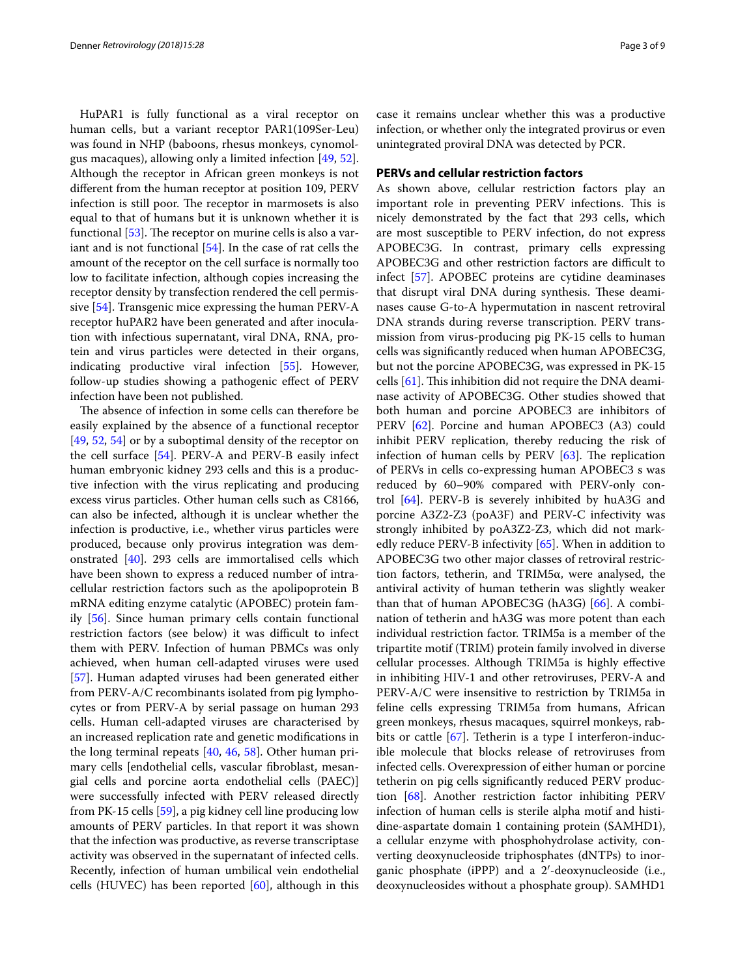HuPAR1 is fully functional as a viral receptor on human cells, but a variant receptor PAR1(109Ser-Leu) was found in NHP (baboons, rhesus monkeys, cynomolgus macaques), allowing only a limited infection [[49](#page-6-28), [52](#page-6-36)]. Although the receptor in African green monkeys is not diferent from the human receptor at position 109, PERV infection is still poor. The receptor in marmosets is also equal to that of humans but it is unknown whether it is functional  $[53]$  $[53]$ . The receptor on murine cells is also a variant and is not functional [[54\]](#page-6-38). In the case of rat cells the amount of the receptor on the cell surface is normally too low to facilitate infection, although copies increasing the receptor density by transfection rendered the cell permissive [[54](#page-6-38)]. Transgenic mice expressing the human PERV-A receptor huPAR2 have been generated and after inoculation with infectious supernatant, viral DNA, RNA, protein and virus particles were detected in their organs, indicating productive viral infection [\[55](#page-7-0)]. However, follow-up studies showing a pathogenic efect of PERV infection have been not published.

The absence of infection in some cells can therefore be easily explained by the absence of a functional receptor [[49,](#page-6-28) [52](#page-6-36), [54](#page-6-38)] or by a suboptimal density of the receptor on the cell surface [[54\]](#page-6-38). PERV-A and PERV-B easily infect human embryonic kidney 293 cells and this is a productive infection with the virus replicating and producing excess virus particles. Other human cells such as C8166, can also be infected, although it is unclear whether the infection is productive, i.e., whether virus particles were produced, because only provirus integration was demonstrated [[40](#page-6-39)]. 293 cells are immortalised cells which have been shown to express a reduced number of intracellular restriction factors such as the apolipoprotein B mRNA editing enzyme catalytic (APOBEC) protein family [\[56\]](#page-7-1). Since human primary cells contain functional restriction factors (see below) it was difficult to infect them with PERV. Infection of human PBMCs was only achieved, when human cell-adapted viruses were used [[57\]](#page-7-2). Human adapted viruses had been generated either from PERV-A/C recombinants isolated from pig lymphocytes or from PERV-A by serial passage on human 293 cells. Human cell-adapted viruses are characterised by an increased replication rate and genetic modifcations in the long terminal repeats [\[40](#page-6-39), [46](#page-6-24), [58](#page-7-3)]. Other human primary cells [endothelial cells, vascular fbroblast, mesangial cells and porcine aorta endothelial cells (PAEC)] were successfully infected with PERV released directly from PK-15 cells [[59](#page-7-4)], a pig kidney cell line producing low amounts of PERV particles. In that report it was shown that the infection was productive, as reverse transcriptase activity was observed in the supernatant of infected cells. Recently, infection of human umbilical vein endothelial cells (HUVEC) has been reported  $[60]$  $[60]$ , although in this

case it remains unclear whether this was a productive infection, or whether only the integrated provirus or even unintegrated proviral DNA was detected by PCR.

## **PERVs and cellular restriction factors**

As shown above, cellular restriction factors play an important role in preventing PERV infections. This is nicely demonstrated by the fact that 293 cells, which are most susceptible to PERV infection, do not express APOBEC3G. In contrast, primary cells expressing APOBEC3G and other restriction factors are difficult to infect [[57\]](#page-7-2). APOBEC proteins are cytidine deaminases that disrupt viral DNA during synthesis. These deaminases cause G-to-A hypermutation in nascent retroviral DNA strands during reverse transcription. PERV transmission from virus-producing pig PK-15 cells to human cells was signifcantly reduced when human APOBEC3G, but not the porcine APOBEC3G, was expressed in PK-15 cells  $[61]$  $[61]$ . This inhibition did not require the DNA deaminase activity of APOBEC3G. Other studies showed that both human and porcine APOBEC3 are inhibitors of PERV [\[62](#page-7-7)]. Porcine and human APOBEC3 (A3) could inhibit PERV replication, thereby reducing the risk of infection of human cells by PERV  $[63]$ . The replication of PERVs in cells co-expressing human APOBEC3 s was reduced by 60–90% compared with PERV-only control [\[64](#page-7-9)]. PERV-B is severely inhibited by huA3G and porcine A3Z2-Z3 (poA3F) and PERV-C infectivity was strongly inhibited by poA3Z2-Z3, which did not markedly reduce PERV-B infectivity [[65\]](#page-7-10). When in addition to APOBEC3G two other major classes of retroviral restriction factors, tetherin, and TRIM5α, were analysed, the antiviral activity of human tetherin was slightly weaker than that of human APOBEC3G ( $hA3G$ ) [ $66$ ]. A combination of tetherin and hA3G was more potent than each individual restriction factor. TRIM5a is a member of the tripartite motif (TRIM) protein family involved in diverse cellular processes. Although TRIM5a is highly efective in inhibiting HIV-1 and other retroviruses, PERV-A and PERV-A/C were insensitive to restriction by TRIM5a in feline cells expressing TRIM5a from humans, African green monkeys, rhesus macaques, squirrel monkeys, rab-bits or cattle [\[67](#page-7-12)]. Tetherin is a type I interferon-inducible molecule that blocks release of retroviruses from infected cells. Overexpression of either human or porcine tetherin on pig cells signifcantly reduced PERV production [\[68\]](#page-7-13). Another restriction factor inhibiting PERV infection of human cells is sterile alpha motif and histidine-aspartate domain 1 containing protein (SAMHD1), a cellular enzyme with phosphohydrolase activity, converting deoxynucleoside triphosphates (dNTPs) to inorganic phosphate (iPPP) and a 2′-deoxynucleoside (i.e., deoxynucleosides without a phosphate group). SAMHD1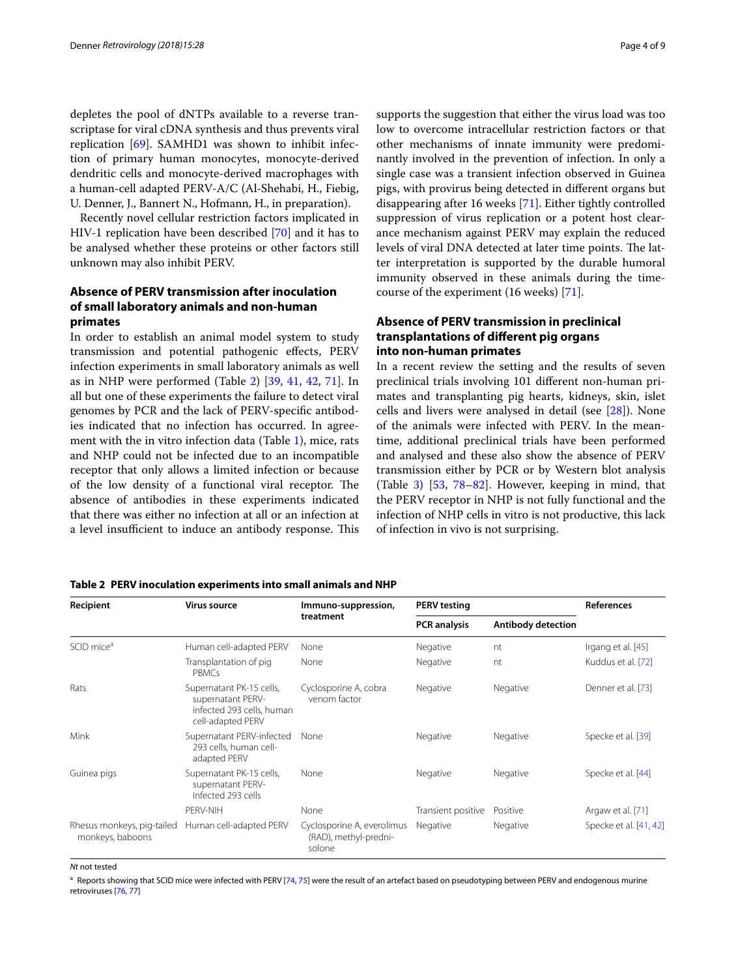depletes the pool of dNTPs available to a reverse transcriptase for viral cDNA synthesis and thus prevents viral replication [\[69\]](#page-7-14). SAMHD1 was shown to inhibit infection of primary human monocytes, monocyte-derived dendritic cells and monocyte-derived macrophages with a human-cell adapted PERV-A/C (Al-Shehabi, H., Fiebig, U. Denner, J., Bannert N., Hofmann, H., in preparation).

Recently novel cellular restriction factors implicated in HIV-1 replication have been described [[70\]](#page-7-15) and it has to be analysed whether these proteins or other factors still unknown may also inhibit PERV.

## **Absence of PERV transmission after inoculation of small laboratory animals and non‑human primates**

In order to establish an animal model system to study transmission and potential pathogenic efects, PERV infection experiments in small laboratory animals as well as in NHP were performed (Table [2](#page-3-0)) [\[39,](#page-6-31) [41](#page-6-40), [42,](#page-6-41) [71](#page-7-16)]. In all but one of these experiments the failure to detect viral genomes by PCR and the lack of PERV-specifc antibodies indicated that no infection has occurred. In agreement with the in vitro infection data (Table [1\)](#page-1-0), mice, rats and NHP could not be infected due to an incompatible receptor that only allows a limited infection or because of the low density of a functional viral receptor. The absence of antibodies in these experiments indicated that there was either no infection at all or an infection at a level insufficient to induce an antibody response. This supports the suggestion that either the virus load was too low to overcome intracellular restriction factors or that other mechanisms of innate immunity were predominantly involved in the prevention of infection. In only a single case was a transient infection observed in Guinea pigs, with provirus being detected in diferent organs but disappearing after 16 weeks [\[71](#page-7-16)]. Either tightly controlled suppression of virus replication or a potent host clearance mechanism against PERV may explain the reduced levels of viral DNA detected at later time points. The latter interpretation is supported by the durable humoral immunity observed in these animals during the timecourse of the experiment (16 weeks) [\[71](#page-7-16)].

## **Absence of PERV transmission in preclinical transplantations of diferent pig organs into non‑human primates**

In a recent review the setting and the results of seven preclinical trials involving 101 diferent non-human primates and transplanting pig hearts, kidneys, skin, islet cells and livers were analysed in detail (see [[28\]](#page-6-18)). None of the animals were infected with PERV. In the meantime, additional preclinical trials have been performed and analysed and these also show the absence of PERV transmission either by PCR or by Western blot analysis (Table [3\)](#page-4-0) [\[53](#page-6-37), [78–](#page-7-17)[82\]](#page-7-18). However, keeping in mind, that the PERV receptor in NHP is not fully functional and the infection of NHP cells in vitro is not productive, this lack of infection in vivo is not surprising.

<span id="page-3-0"></span>

|  |  |  | Table 2 PERV inoculation experiments into small animals and NHP |
|--|--|--|-----------------------------------------------------------------|
|--|--|--|-----------------------------------------------------------------|

| Recipient                                      | <b>Virus source</b>                                                                             | Immuno-suppression,<br>treatment                              | <b>PERV</b> testing |                    | <b>References</b>      |
|------------------------------------------------|-------------------------------------------------------------------------------------------------|---------------------------------------------------------------|---------------------|--------------------|------------------------|
|                                                |                                                                                                 |                                                               | <b>PCR</b> analysis | Antibody detection |                        |
| SCID mice <sup>a</sup>                         | Human cell-adapted PERV                                                                         | None                                                          | Negative            | nt                 | Irgang et al. [45]     |
|                                                | Transplantation of pig<br><b>PBMCs</b>                                                          | None                                                          | Negative            | nt                 | Kuddus et al. [72]     |
| Rats                                           | Supernatant PK-15 cells,<br>supernatant PERV-<br>infected 293 cells, human<br>cell-adapted PERV | Cyclosporine A, cobra<br>venom factor                         | Negative            | Negative           | Denner et al. [73]     |
| Mink                                           | Supernatant PERV-infected<br>293 cells, human cell-<br>adapted PERV                             | None                                                          | Negative            | Negative           | Specke et al. [39]     |
| Guinea pigs                                    | Supernatant PK-15 cells,<br>supernatant PERV-<br>infected 293 cells                             | None                                                          | Negative            | Negative           | Specke et al. [44]     |
|                                                | PFRV-NIH                                                                                        | None                                                          | Transient positive  | Positive           | Argaw et al. [71]      |
| Rhesus monkeys, pig-tailed<br>monkeys, baboons | Human cell-adapted PERV                                                                         | Cyclosporine A, everolimus<br>(RAD), methyl-predni-<br>solone | Negative            | Negative           | Specke et al. [41, 42] |

#### *Nt* not tested

<sup>a</sup> Reports showing that SCID mice were infected with PERV [[74,](#page-7-19) [75\]](#page-7-20) were the result of an artefact based on pseudotyping between PERV and endogenous murine retroviruses [\[76,](#page-7-21) [77\]](#page-7-22)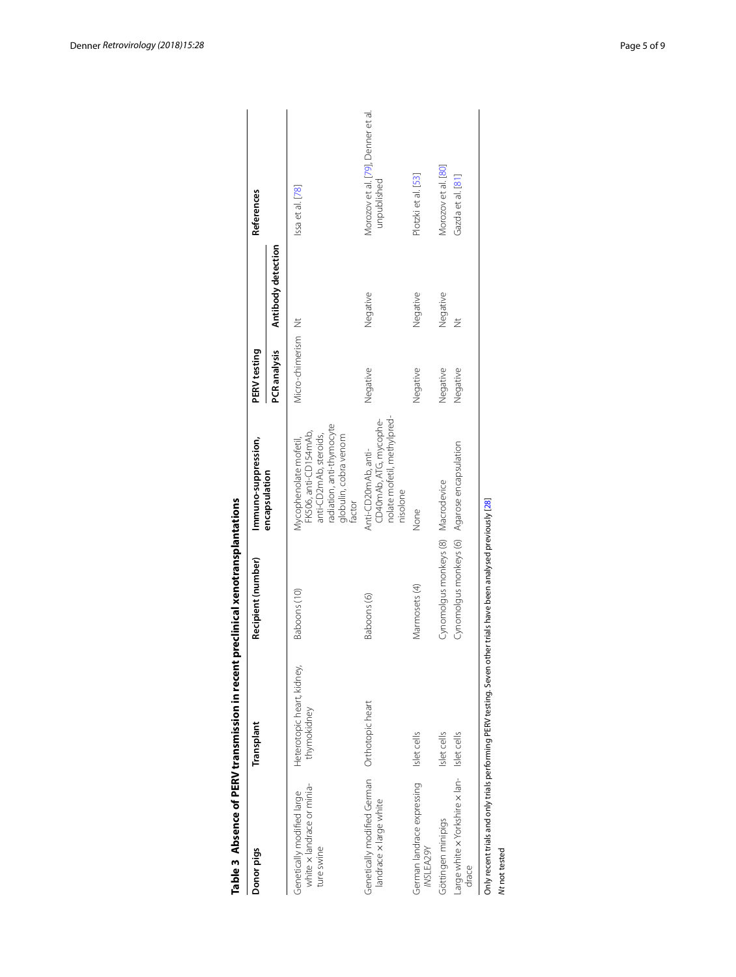| Morozov et al. [80]<br>Plotzki et al. [53]<br>Gazda et al. [81]<br>unpublished<br>Issa et al. [78]<br>Antibody detection<br>Negative<br>Negative<br>Negative<br>$\breve{\equiv}$<br>Micro-chimerism Nt<br>PCR analysis<br>Negative<br>Negative<br>Negative<br>Negative<br>nolate mofetil, methylpred-<br>CD40mAb, ATG, mycophe-<br>radiation, anti-thymocyte<br>FK506, anti-CD154mAb,<br>anti-CD2mAb, steroids,<br>globulin, cobra venom<br>Mycophenolate mofetil,<br>Cynomolgus monkeys (6) Agarose encapsulation<br>Anti-CD20mAb, anti-<br>encapsulation<br>Cynomolgus monkeys (8) Macrodevice<br>nisolone<br>factor<br>None<br>Marmosets (4)<br>Baboons (10)<br>Baboons (6)<br>Heterotopic heart, kidney,<br>Orthotopic heart<br>thymokidney<br>Islet cells<br>Islet cells<br>Islet cells<br>Large white x Yorkshire x lan-<br>Genetically modified German<br>German landrace expressing<br>white x landrace or minia-<br>Genetically modified large<br>landrace x large white<br>Göttingen minipigs<br>ture swine<br>INSLEA29Y<br>drace | Donor pigs | Transplant | Recipient (number) | Immuno-suppression, | PERV testing | References                        |
|---------------------------------------------------------------------------------------------------------------------------------------------------------------------------------------------------------------------------------------------------------------------------------------------------------------------------------------------------------------------------------------------------------------------------------------------------------------------------------------------------------------------------------------------------------------------------------------------------------------------------------------------------------------------------------------------------------------------------------------------------------------------------------------------------------------------------------------------------------------------------------------------------------------------------------------------------------------------------------------------------------------------------------------------|------------|------------|--------------------|---------------------|--------------|-----------------------------------|
|                                                                                                                                                                                                                                                                                                                                                                                                                                                                                                                                                                                                                                                                                                                                                                                                                                                                                                                                                                                                                                             |            |            |                    |                     |              |                                   |
|                                                                                                                                                                                                                                                                                                                                                                                                                                                                                                                                                                                                                                                                                                                                                                                                                                                                                                                                                                                                                                             |            |            |                    |                     |              |                                   |
|                                                                                                                                                                                                                                                                                                                                                                                                                                                                                                                                                                                                                                                                                                                                                                                                                                                                                                                                                                                                                                             |            |            |                    |                     |              | Morozov et al. [79], Denner et al |
|                                                                                                                                                                                                                                                                                                                                                                                                                                                                                                                                                                                                                                                                                                                                                                                                                                                                                                                                                                                                                                             |            |            |                    |                     |              |                                   |
|                                                                                                                                                                                                                                                                                                                                                                                                                                                                                                                                                                                                                                                                                                                                                                                                                                                                                                                                                                                                                                             |            |            |                    |                     |              |                                   |
|                                                                                                                                                                                                                                                                                                                                                                                                                                                                                                                                                                                                                                                                                                                                                                                                                                                                                                                                                                                                                                             |            |            |                    |                     |              |                                   |

<span id="page-4-0"></span>

| ֚֚֚֚֚֚֚֬֡֡֡֡֡֡                |
|-------------------------------|
|                               |
|                               |
|                               |
|                               |
|                               |
|                               |
|                               |
|                               |
|                               |
|                               |
|                               |
|                               |
|                               |
|                               |
|                               |
|                               |
|                               |
| ֡֡֡֡֡֡֡֡֡                     |
|                               |
|                               |
| ֚֚֚<br>֧֚֚֚֚֚֚֚֚֚֚֚֚֚֚֚֚֚֚֚֓֕ |
|                               |
|                               |
|                               |
|                               |
|                               |
|                               |
|                               |
|                               |
|                               |
|                               |
| $\frac{2}{5}$                 |
|                               |
|                               |
|                               |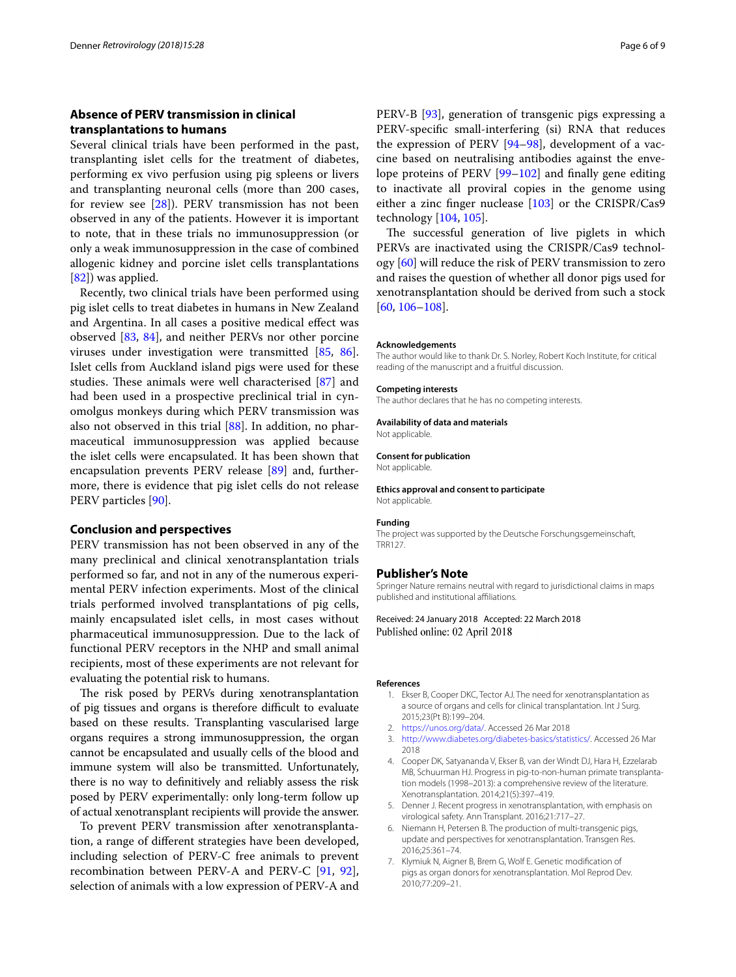# **Absence of PERV transmission in clinical transplantations to humans**

Several clinical trials have been performed in the past, transplanting islet cells for the treatment of diabetes, performing ex vivo perfusion using pig spleens or livers and transplanting neuronal cells (more than 200 cases, for review see [\[28](#page-6-18)]). PERV transmission has not been observed in any of the patients. However it is important to note, that in these trials no immunosuppression (or only a weak immunosuppression in the case of combined allogenic kidney and porcine islet cells transplantations [[82\]](#page-7-18)) was applied.

Recently, two clinical trials have been performed using pig islet cells to treat diabetes in humans in New Zealand and Argentina. In all cases a positive medical efect was observed [\[83](#page-7-28), [84\]](#page-7-29), and neither PERVs nor other porcine viruses under investigation were transmitted [\[85,](#page-7-30) [86](#page-7-31)]. Islet cells from Auckland island pigs were used for these studies. These animals were well characterised [[87\]](#page-7-32) and had been used in a prospective preclinical trial in cynomolgus monkeys during which PERV transmission was also not observed in this trial [\[88\]](#page-7-33). In addition, no pharmaceutical immunosuppression was applied because the islet cells were encapsulated. It has been shown that encapsulation prevents PERV release [[89\]](#page-7-34) and, furthermore, there is evidence that pig islet cells do not release PERV particles [\[90](#page-7-35)].

## **Conclusion and perspectives**

PERV transmission has not been observed in any of the many preclinical and clinical xenotransplantation trials performed so far, and not in any of the numerous experimental PERV infection experiments. Most of the clinical trials performed involved transplantations of pig cells, mainly encapsulated islet cells, in most cases without pharmaceutical immunosuppression. Due to the lack of functional PERV receptors in the NHP and small animal recipients, most of these experiments are not relevant for evaluating the potential risk to humans.

The risk posed by PERVs during xenotransplantation of pig tissues and organs is therefore difficult to evaluate based on these results. Transplanting vascularised large organs requires a strong immunosuppression, the organ cannot be encapsulated and usually cells of the blood and immune system will also be transmitted. Unfortunately, there is no way to defnitively and reliably assess the risk posed by PERV experimentally: only long-term follow up of actual xenotransplant recipients will provide the answer.

To prevent PERV transmission after xenotransplantation, a range of diferent strategies have been developed, including selection of PERV-C free animals to prevent recombination between PERV-A and PERV-C [[91,](#page-7-36) [92](#page-7-37)], selection of animals with a low expression of PERV-A and PERV-B [\[93](#page-7-38)], generation of transgenic pigs expressing a PERV-specifc small-interfering (si) RNA that reduces the expression of PERV [[94](#page-8-0)[–98](#page-8-1)], development of a vaccine based on neutralising antibodies against the envelope proteins of PERV [\[99–](#page-8-2)[102\]](#page-8-3) and fnally gene editing to inactivate all proviral copies in the genome using either a zinc fnger nuclease [[103\]](#page-8-4) or the CRISPR/Cas9 technology [[104](#page-8-5), [105\]](#page-8-6).

The successful generation of live piglets in which PERVs are inactivated using the CRISPR/Cas9 technology [[60\]](#page-7-5) will reduce the risk of PERV transmission to zero and raises the question of whether all donor pigs used for xenotransplantation should be derived from such a stock [[60,](#page-7-5) [106](#page-8-7)–[108\]](#page-8-8).

#### **Acknowledgements**

The author would like to thank Dr. S. Norley, Robert Koch Institute, for critical reading of the manuscript and a fruitful discussion.

#### **Competing interests**

The author declares that he has no competing interests.

#### **Availability of data and materials**

Not applicable.

# **Consent for publication**

Not applicable.

**Ethics approval and consent to participate** Not applicable.

#### **Funding**

The project was supported by the Deutsche Forschungsgemeinschaft, TRR127.

#### **Publisher's Note**

Springer Nature remains neutral with regard to jurisdictional claims in maps published and institutional afliations.

## Received: 24 January 2018 Accepted: 22 March 2018 Published online: 02 April 2018

## <span id="page-5-0"></span>**References**

- 1. Ekser B, Cooper DKC, Tector AJ. The need for xenotransplantation as a source of organs and cells for clinical transplantation. Int J Surg. 2015;23(Pt B):199–204.
- <span id="page-5-1"></span>2. <https://unos.org/data/>. Accessed 26 Mar 2018
- <span id="page-5-2"></span>3. [http://www.diabetes.org/diabetes-basics/statistics/.](http://www.diabetes.org/diabetes-basics/statistics/) Accessed 26 Mar 2018
- <span id="page-5-3"></span>4. Cooper DK, Satyananda V, Ekser B, van der Windt DJ, Hara H, Ezzelarab MB, Schuurman HJ. Progress in pig-to-non-human primate transplantation models (1998–2013): a comprehensive review of the literature. Xenotransplantation. 2014;21(5):397–419.
- <span id="page-5-4"></span>5. Denner J. Recent progress in xenotransplantation, with emphasis on virological safety. Ann Transplant. 2016;21:717–27.
- <span id="page-5-5"></span>Niemann H, Petersen B. The production of multi-transgenic pigs, update and perspectives for xenotransplantation. Transgen Res. 2016;25:361–74.
- <span id="page-5-6"></span>7. Klymiuk N, Aigner B, Brem G, Wolf E. Genetic modifcation of pigs as organ donors for xenotransplantation. Mol Reprod Dev. 2010;77:209–21.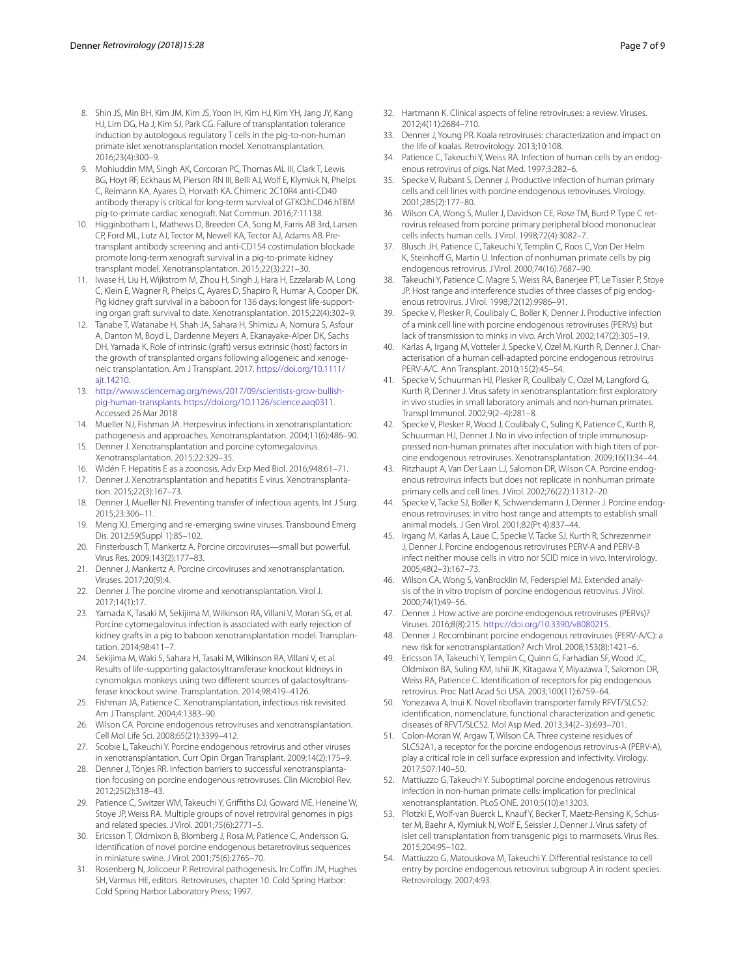- <span id="page-6-0"></span>8. Shin JS, Min BH, Kim JM, Kim JS, Yoon IH, Kim HJ, Kim YH, Jang JY, Kang HJ, Lim DG, Ha J, Kim SJ, Park CG. Failure of transplantation tolerance induction by autologous regulatory T cells in the pig-to-non-human primate islet xenotransplantation model. Xenotransplantation. 2016;23(4):300–9.
- <span id="page-6-1"></span>Mohiuddin MM, Singh AK, Corcoran PC, Thomas ML III, Clark T, Lewis BG, Hoyt RF, Eckhaus M, Pierson RN III, Belli AJ, Wolf E, Klymiuk N, Phelps C, Reimann KA, Ayares D, Horvath KA. Chimeric 2C10R4 anti-CD40 antibody therapy is critical for long-term survival of GTKO.hCD46.hTBM pig-to-primate cardiac xenograft. Nat Commun. 2016;7:11138.
- <span id="page-6-2"></span>10. Higginbotham L, Mathews D, Breeden CA, Song M, Farris AB 3rd, Larsen CP, Ford ML, Lutz AJ, Tector M, Newell KA, Tector AJ, Adams AB. Pretransplant antibody screening and anti-CD154 costimulation blockade promote long-term xenograft survival in a pig-to-primate kidney transplant model. Xenotransplantation. 2015;22(3):221–30.
- 11. Iwase H, Liu H, Wijkstrom M, Zhou H, Singh J, Hara H, Ezzelarab M, Long C, Klein E, Wagner R, Phelps C, Ayares D, Shapiro R, Humar A, Cooper DK. Pig kidney graft survival in a baboon for 136 days: longest life-supporting organ graft survival to date. Xenotransplantation. 2015;22(4):302–9.
- <span id="page-6-3"></span>12. Tanabe T, Watanabe H, Shah JA, Sahara H, Shimizu A, Nomura S, Asfour A, Danton M, Boyd L, Dardenne Meyers A, Ekanayake-Alper DK, Sachs DH, Yamada K. Role of intrinsic (graft) versus extrinsic (host) factors in the growth of transplanted organs following allogeneic and xenogeneic transplantation. Am J Transplant. 2017. [https://doi.org/10.1111/](https://doi.org/10.1111/ajt.14210) [ajt.14210](https://doi.org/10.1111/ajt.14210).
- <span id="page-6-4"></span>13. [http://www.sciencemag.org/news/2017/09/scientists-grow-bullish](http://www.sciencemag.org/news/2017/09/scientists-grow-bullish-pig-human-transplants)[pig-human-transplants.](http://www.sciencemag.org/news/2017/09/scientists-grow-bullish-pig-human-transplants) [https://doi.org/10.1126/science.aaq0311.](https://doi.org/10.1126/science.aaq0311) Accessed 26 Mar 2018
- <span id="page-6-5"></span>14. Mueller NJ, Fishman JA. Herpesvirus infections in xenotransplantation: pathogenesis and approaches. Xenotransplantation. 2004;11(6):486–90.
- <span id="page-6-6"></span>15. Denner J. Xenotransplantation and porcine cytomegalovirus. Xenotransplantation. 2015;22:329–35.
- <span id="page-6-7"></span>16. Widén F. Hepatitis E as a zoonosis. Adv Exp Med Biol. 2016;948:61–71.
- <span id="page-6-8"></span>17. Denner J. Xenotransplantation and hepatitis E virus. Xenotransplantation. 2015;22(3):167–73.
- <span id="page-6-9"></span>18. Denner J, Mueller NJ. Preventing transfer of infectious agents. Int J Surg. 2015;23:306–11.
- <span id="page-6-10"></span>19. Meng XJ. Emerging and re-emerging swine viruses. Transbound Emerg Dis. 2012;59(Suppl 1):85–102.
- <span id="page-6-11"></span>20. Finsterbusch T, Mankertz A. Porcine circoviruses—small but powerful. Virus Res. 2009;143(2):177–83.
- <span id="page-6-12"></span>21. Denner J, Mankertz A. Porcine circoviruses and xenotransplantation. Viruses. 2017;20(9):4.
- <span id="page-6-13"></span>22. Denner J. The porcine virome and xenotransplantation. Virol J. 2017;14(1):17.
- <span id="page-6-14"></span>23. Yamada K, Tasaki M, Sekijima M, Wilkinson RA, Villani V, Moran SG, et al. Porcine cytomegalovirus infection is associated with early rejection of kidney grafts in a pig to baboon xenotransplantation model. Transplantation. 2014;98:411–7.
- <span id="page-6-15"></span>Sekijima M, Waki S, Sahara H, Tasaki M, Wilkinson RA, Villani V, et al. Results of life-supporting galactosyltransferase knockout kidneys in cynomolgus monkeys using two diferent sources of galactosyltransferase knockout swine. Transplantation. 2014;98:419–4126.
- <span id="page-6-16"></span>25. Fishman JA, Patience C. Xenotransplantation, infectious risk revisited. Am J Transplant. 2004;4:1383–90.
- 26. Wilson CA. Porcine endogenous retroviruses and xenotransplantation. Cell Mol Life Sci. 2008;65(21):3399–412.
- <span id="page-6-17"></span>27. Scobie L, Takeuchi Y. Porcine endogenous retrovirus and other viruses in xenotransplantation. Curr Opin Organ Transplant. 2009;14(2):175–9.
- <span id="page-6-18"></span>28. Denner J, Tönjes RR. Infection barriers to successful xenotransplantation focusing on porcine endogenous retroviruses. Clin Microbiol Rev. 2012;25(2):318–43.
- <span id="page-6-19"></span>29. Patience C, Switzer WM, Takeuchi Y, Grifths DJ, Goward ME, Heneine W, Stoye JP, Weiss RA. Multiple groups of novel retroviral genomes in pigs and related species. J Virol. 2001;75(6):2771–5.
- <span id="page-6-20"></span>30. Ericsson T, Oldmixon B, Blomberg J, Rosa M, Patience C, Andersson G. Identifcation of novel porcine endogenous betaretrovirus sequences in miniature swine. J Virol. 2001;75(6):2765–70.
- <span id="page-6-21"></span>31. Rosenberg N, Jolicoeur P. Retroviral pathogenesis. In: Coffin JM, Hughes SH, Varmus HE, editors. Retroviruses, chapter 10. Cold Spring Harbor: Cold Spring Harbor Laboratory Press; 1997.
- 32. Hartmann K. Clinical aspects of feline retroviruses: a review. Viruses. 2012;4(11):2684–710.
- <span id="page-6-22"></span>33. Denner J, Young PR. Koala retroviruses: characterization and impact on the life of koalas. Retrovirology. 2013;10:108.
- <span id="page-6-23"></span>34. Patience C, Takeuchi Y, Weiss RA. Infection of human cells by an endogenous retrovirus of pigs. Nat Med. 1997;3:282–6.
- <span id="page-6-32"></span>35. Specke V, Rubant S, Denner J. Productive infection of human primary cells and cell lines with porcine endogenous retroviruses. Virology. 2001;285(2):177–80.
- 36. Wilson CA, Wong S, Muller J, Davidson CE, Rose TM, Burd P. Type C retrovirus released from porcine primary peripheral blood mononuclear cells infects human cells. J Virol. 1998;72(4):3082–7.
- <span id="page-6-33"></span>37. Blusch JH, Patience C, Takeuchi Y, Templin C, Roos C, Von Der Helm K, Steinhoff G, Martin U. Infection of nonhuman primate cells by pig endogenous retrovirus. J Virol. 2000;74(16):7687–90.
- <span id="page-6-34"></span>38. Takeuchi Y, Patience C, Magre S, Weiss RA, Banerjee PT, Le Tissier P, Stoye JP. Host range and interference studies of three classes of pig endogenous retrovirus. J Virol. 1998;72(12):9986–91.
- <span id="page-6-31"></span>39. Specke V, Plesker R, Coulibaly C, Boller K, Denner J. Productive infection of a mink cell line with porcine endogenous retroviruses (PERVs) but lack of transmission to minks in vivo. Arch Virol. 2002;147(2):305–19.
- <span id="page-6-39"></span>40. Karlas A, Irgang M, Votteler J, Specke V, Ozel M, Kurth R, Denner J. Characterisation of a human cell-adapted porcine endogenous retrovirus PERV-A/C. Ann Transplant. 2010;15(2):45–54.
- <span id="page-6-40"></span>41. Specke V, Schuurman HJ, Plesker R, Coulibaly C, Ozel M, Langford G, Kurth R, Denner J. Virus safety in xenotransplantation: frst exploratory in vivo studies in small laboratory animals and non-human primates. Transpl Immunol. 2002;9(2–4):281–8.
- <span id="page-6-41"></span>42. Specke V, Plesker R, Wood J, Coulibaly C, Suling K, Patience C, Kurth R, Schuurman HJ, Denner J. No in vivo infection of triple immunosuppressed non-human primates after inoculation with high titers of porcine endogenous retroviruses. Xenotransplantation. 2009;16(1):34–44.
- <span id="page-6-27"></span>43. Ritzhaupt A, Van Der Laan LJ, Salomon DR, Wilson CA. Porcine endogenous retrovirus infects but does not replicate in nonhuman primate primary cells and cell lines. J Virol. 2002;76(22):11312–20.
- <span id="page-6-35"></span>44. Specke V, Tacke SJ, Boller K, Schwendemann J, Denner J. Porcine endogenous retroviruses: in vitro host range and attempts to establish small animal models. J Gen Virol. 2001;82(Pt 4):837–44.
- <span id="page-6-42"></span>45. Irgang M, Karlas A, Laue C, Specke V, Tacke SJ, Kurth R, Schrezenmeir J, Denner J. Porcine endogenous retroviruses PERV-A and PERV-B infect neither mouse cells in vitro nor SCID mice in vivo. Intervirology. 2005;48(2–3):167–73.
- <span id="page-6-24"></span>46. Wilson CA, Wong S, VanBrocklin M, Federspiel MJ. Extended analysis of the in vitro tropism of porcine endogenous retrovirus. J Virol. 2000;74(1):49–56.
- <span id="page-6-25"></span>47. Denner J. How active are porcine endogenous retroviruses (PERVs)? Viruses. 2016;8(8):215.<https://doi.org/10.3390/v8080215>.
- <span id="page-6-26"></span>48. Denner J. Recombinant porcine endogenous retroviruses (PERV-A/C): a new risk for xenotransplantation? Arch Virol. 2008;153(8):1421–6.
- <span id="page-6-28"></span>49. Ericsson TA, Takeuchi Y, Templin C, Quinn G, Farhadian SF, Wood JC, Oldmixon BA, Suling KM, Ishii JK, Kitagawa Y, Miyazawa T, Salomon DR, Weiss RA, Patience C. Identifcation of receptors for pig endogenous retrovirus. Proc Natl Acad Sci USA. 2003;100(11):6759–64.
- <span id="page-6-29"></span>50. Yonezawa A, Inui K. Novel ribofavin transporter family RFVT/SLC52: identifcation, nomenclature, functional characterization and genetic diseases of RFVT/SLC52. Mol Asp Med. 2013;34(2–3):693–701.
- <span id="page-6-30"></span>51. Colon-Moran W, Argaw T, Wilson CA. Three cysteine residues of SLC52A1, a receptor for the porcine endogenous retrovirus-A (PERV-A), play a critical role in cell surface expression and infectivity. Virology. 2017;507:140–50.
- <span id="page-6-36"></span>52. Mattiuzzo G, Takeuchi Y. Suboptimal porcine endogenous retrovirus infection in non-human primate cells: implication for preclinical xenotransplantation. PLoS ONE. 2010;5(10):e13203.
- <span id="page-6-37"></span>53. Plotzki E, Wolf-van Buerck L, Knauf Y, Becker T, Maetz-Rensing K, Schuster M, Baehr A, Klymiuk N, Wolf E, Seissler J, Denner J. Virus safety of islet cell transplantation from transgenic pigs to marmosets. Virus Res. 2015;204:95–102.
- <span id="page-6-38"></span>54. Mattiuzzo G, Matouskova M, Takeuchi Y. Diferential resistance to cell entry by porcine endogenous retrovirus subgroup A in rodent species. Retrovirology. 2007;4:93.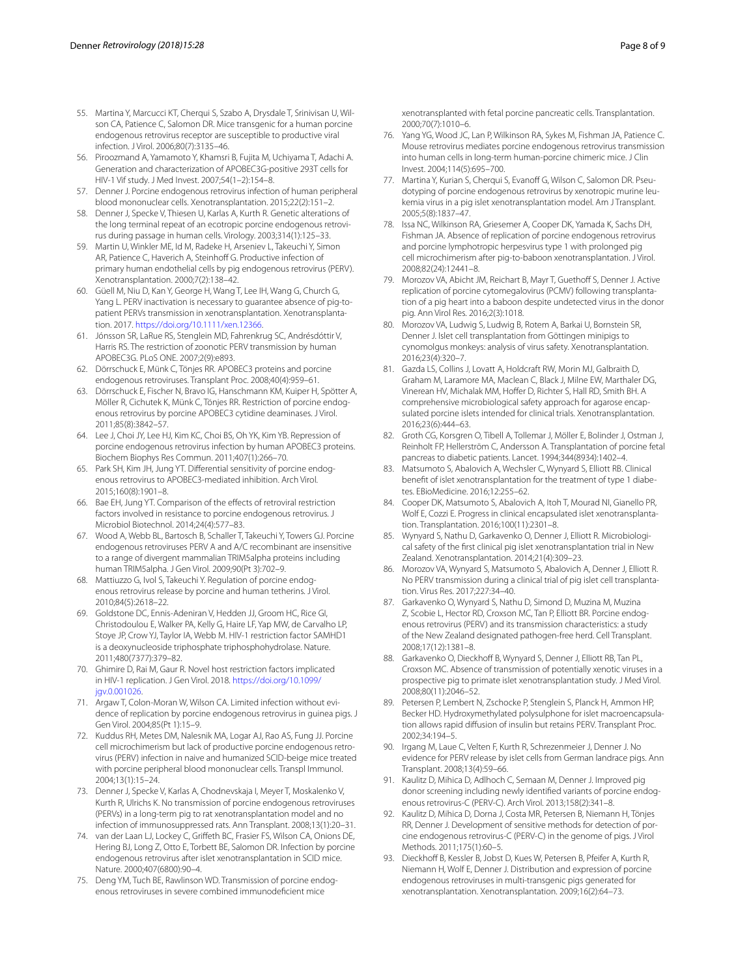- <span id="page-7-0"></span>55. Martina Y, Marcucci KT, Cherqui S, Szabo A, Drysdale T, Srinivisan U, Wilson CA, Patience C, Salomon DR. Mice transgenic for a human porcine endogenous retrovirus receptor are susceptible to productive viral infection. J Virol. 2006;80(7):3135–46.
- <span id="page-7-1"></span>56. Piroozmand A, Yamamoto Y, Khamsri B, Fujita M, Uchiyama T, Adachi A. Generation and characterization of APOBEC3G-positive 293T cells for HIV-1 Vif study. J Med Invest. 2007;54(1–2):154–8.
- <span id="page-7-2"></span>57. Denner J. Porcine endogenous retrovirus infection of human peripheral blood mononuclear cells. Xenotransplantation. 2015;22(2):151–2.
- <span id="page-7-3"></span>58. Denner J, Specke V, Thiesen U, Karlas A, Kurth R. Genetic alterations of the long terminal repeat of an ecotropic porcine endogenous retrovirus during passage in human cells. Virology. 2003;314(1):125–33.
- <span id="page-7-4"></span>59. Martin U, Winkler ME, Id M, Radeke H, Arseniev L, Takeuchi Y, Simon AR, Patience C, Haverich A, Steinhoff G. Productive infection of primary human endothelial cells by pig endogenous retrovirus (PERV). Xenotransplantation. 2000;7(2):138–42.
- <span id="page-7-5"></span>60. Güell M, Niu D, Kan Y, George H, Wang T, Lee IH, Wang G, Church G, Yang L. PERV inactivation is necessary to guarantee absence of pig-topatient PERVs transmission in xenotransplantation. Xenotransplantation. 2017. [https://doi.org/10.1111/xen.12366.](https://doi.org/10.1111/xen.12366)
- <span id="page-7-6"></span>61. Jónsson SR, LaRue RS, Stenglein MD, Fahrenkrug SC, Andrésdóttir V, Harris RS. The restriction of zoonotic PERV transmission by human APOBEC3G. PLoS ONE. 2007;2(9):e893.
- <span id="page-7-7"></span>62. Dörrschuck E, Münk C, Tönjes RR. APOBEC3 proteins and porcine endogenous retroviruses. Transplant Proc. 2008;40(4):959–61.
- <span id="page-7-8"></span>63. Dörrschuck E, Fischer N, Bravo IG, Hanschmann KM, Kuiper H, Spötter A, Möller R, Cichutek K, Münk C, Tönjes RR. Restriction of porcine endogenous retrovirus by porcine APOBEC3 cytidine deaminases. J Virol. 2011;85(8):3842–57.
- <span id="page-7-9"></span>64. Lee J, Choi JY, Lee HJ, Kim KC, Choi BS, Oh YK, Kim YB. Repression of porcine endogenous retrovirus infection by human APOBEC3 proteins. Biochem Biophys Res Commun. 2011;407(1):266–70.
- <span id="page-7-10"></span>65. Park SH, Kim JH, Jung YT. Diferential sensitivity of porcine endogenous retrovirus to APOBEC3-mediated inhibition. Arch Virol. 2015;160(8):1901–8.
- <span id="page-7-11"></span>66. Bae EH, Jung YT. Comparison of the efects of retroviral restriction factors involved in resistance to porcine endogenous retrovirus. J Microbiol Biotechnol. 2014;24(4):577–83.
- <span id="page-7-12"></span>67. Wood A, Webb BL, Bartosch B, Schaller T, Takeuchi Y, Towers GJ. Porcine endogenous retroviruses PERV A and A/C recombinant are insensitive to a range of divergent mammalian TRIM5alpha proteins including human TRIM5alpha. J Gen Virol. 2009;90(Pt 3):702–9.
- <span id="page-7-13"></span>68. Mattiuzzo G, Ivol S, Takeuchi Y. Regulation of porcine endogenous retrovirus release by porcine and human tetherins. J Virol. 2010;84(5):2618–22.
- <span id="page-7-14"></span>69. Goldstone DC, Ennis-Adeniran V, Hedden JJ, Groom HC, Rice GI, Christodoulou E, Walker PA, Kelly G, Haire LF, Yap MW, de Carvalho LP, Stoye JP, Crow YJ, Taylor IA, Webb M. HIV-1 restriction factor SAMHD1 is a deoxynucleoside triphosphate triphosphohydrolase. Nature. 2011;480(7377):379–82.
- <span id="page-7-15"></span>70. Ghimire D, Rai M, Gaur R. Novel host restriction factors implicated in HIV-1 replication. J Gen Virol. 2018. [https://doi.org/10.1099/](https://doi.org/10.1099/jgv.0.001026) [jgv.0.001026](https://doi.org/10.1099/jgv.0.001026).
- <span id="page-7-16"></span>71. Argaw T, Colon-Moran W, Wilson CA. Limited infection without evidence of replication by porcine endogenous retrovirus in guinea pigs. J Gen Virol. 2004;85(Pt 1):15–9.
- <span id="page-7-23"></span>72. Kuddus RH, Metes DM, Nalesnik MA, Logar AJ, Rao AS, Fung JJ. Porcine cell microchimerism but lack of productive porcine endogenous retrovirus (PERV) infection in naive and humanized SCID-beige mice treated with porcine peripheral blood mononuclear cells. Transpl Immunol. 2004;13(1):15–24.
- <span id="page-7-24"></span>73. Denner J, Specke V, Karlas A, Chodnevskaja I, Meyer T, Moskalenko V, Kurth R, Ulrichs K. No transmission of porcine endogenous retroviruses (PERVs) in a long-term pig to rat xenotransplantation model and no infection of immunosuppressed rats. Ann Transplant. 2008;13(1):20–31.
- <span id="page-7-19"></span>74. van der Laan LJ, Lockey C, Grifeth BC, Frasier FS, Wilson CA, Onions DE, Hering BJ, Long Z, Otto E, Torbett BE, Salomon DR. Infection by porcine endogenous retrovirus after islet xenotransplantation in SCID mice. Nature. 2000;407(6800):90–4.
- <span id="page-7-20"></span>75. Deng YM, Tuch BE, Rawlinson WD. Transmission of porcine endogenous retroviruses in severe combined immunodefcient mice
- <span id="page-7-21"></span>76. Yang YG, Wood JC, Lan P, Wilkinson RA, Sykes M, Fishman JA, Patience C. Mouse retrovirus mediates porcine endogenous retrovirus transmission into human cells in long-term human-porcine chimeric mice. J Clin Invest. 2004;114(5):695–700.
- <span id="page-7-22"></span>77. Martina Y, Kurian S, Cherqui S, Evanoff G, Wilson C, Salomon DR. Pseudotyping of porcine endogenous retrovirus by xenotropic murine leukemia virus in a pig islet xenotransplantation model. Am J Transplant. 2005;5(8):1837–47.
- <span id="page-7-17"></span>78. Issa NC, Wilkinson RA, Griesemer A, Cooper DK, Yamada K, Sachs DH, Fishman JA. Absence of replication of porcine endogenous retrovirus and porcine lymphotropic herpesvirus type 1 with prolonged pig cell microchimerism after pig-to-baboon xenotransplantation. J Virol. 2008;82(24):12441–8.
- <span id="page-7-25"></span>79. Morozov VA, Abicht JM, Reichart B, Mayr T, Guethoff S, Denner J. Active replication of porcine cytomegalovirus (PCMV) following transplantation of a pig heart into a baboon despite undetected virus in the donor pig. Ann Virol Res. 2016;2(3):1018.
- <span id="page-7-26"></span>80. Morozov VA, Ludwig S, Ludwig B, Rotem A, Barkai U, Bornstein SR, Denner J. Islet cell transplantation from Göttingen minipigs to cynomolgus monkeys: analysis of virus safety. Xenotransplantation. 2016;23(4):320–7.
- <span id="page-7-27"></span>81. Gazda LS, Collins J, Lovatt A, Holdcraft RW, Morin MJ, Galbraith D, Graham M, Laramore MA, Maclean C, Black J, Milne EW, Marthaler DG, Vinerean HV, Michalak MM, Hoffer D, Richter S, Hall RD, Smith BH. A comprehensive microbiological safety approach for agarose encapsulated porcine islets intended for clinical trials. Xenotransplantation. 2016;23(6):444–63.
- <span id="page-7-18"></span>82. Groth CG, Korsgren O, Tibell A, Tollemar J, Möller E, Bolinder J, Ostman J, Reinholt FP, Hellerström C, Andersson A. Transplantation of porcine fetal pancreas to diabetic patients. Lancet. 1994;344(8934):1402–4.
- <span id="page-7-28"></span>83. Matsumoto S, Abalovich A, Wechsler C, Wynyard S, Elliott RB. Clinical beneft of islet xenotransplantation for the treatment of type 1 diabetes. EBioMedicine. 2016;12:255–62.
- <span id="page-7-29"></span>84. Cooper DK, Matsumoto S, Abalovich A, Itoh T, Mourad NI, Gianello PR, Wolf E, Cozzi E. Progress in clinical encapsulated islet xenotransplantation. Transplantation. 2016;100(11):2301–8.
- <span id="page-7-30"></span>85. Wynyard S, Nathu D, Garkavenko O, Denner J, Elliott R. Microbiological safety of the frst clinical pig islet xenotransplantation trial in New Zealand. Xenotransplantation. 2014;21(4):309–23.
- <span id="page-7-31"></span>86. Morozov VA, Wynyard S, Matsumoto S, Abalovich A, Denner J, Elliott R. No PERV transmission during a clinical trial of pig islet cell transplantation. Virus Res. 2017;227:34–40.
- <span id="page-7-32"></span>87. Garkavenko O, Wynyard S, Nathu D, Simond D, Muzina M, Muzina Z, Scobie L, Hector RD, Croxson MC, Tan P, Elliott BR. Porcine endogenous retrovirus (PERV) and its transmission characteristics: a study of the New Zealand designated pathogen-free herd. Cell Transplant. 2008;17(12):1381–8.
- <span id="page-7-33"></span>88. Garkavenko O, Dieckhoff B, Wynyard S, Denner J, Elliott RB, Tan PL, Croxson MC. Absence of transmission of potentially xenotic viruses in a prospective pig to primate islet xenotransplantation study. J Med Virol. 2008;80(11):2046–52.
- <span id="page-7-34"></span>89. Petersen P, Lembert N, Zschocke P, Stenglein S, Planck H, Ammon HP, Becker HD. Hydroxymethylated polysulphone for islet macroencapsulation allows rapid difusion of insulin but retains PERV. Transplant Proc. 2002;34:194–5.
- <span id="page-7-35"></span>90. Irgang M, Laue C, Velten F, Kurth R, Schrezenmeier J, Denner J. No evidence for PERV release by islet cells from German landrace pigs. Ann Transplant. 2008;13(4):59–66.
- <span id="page-7-36"></span>91. Kaulitz D, Mihica D, Adlhoch C, Semaan M, Denner J. Improved pig donor screening including newly identifed variants of porcine endogenous retrovirus-C (PERV-C). Arch Virol. 2013;158(2):341–8.
- <span id="page-7-37"></span>92. Kaulitz D, Mihica D, Dorna J, Costa MR, Petersen B, Niemann H, Tönjes RR, Denner J. Development of sensitive methods for detection of porcine endogenous retrovirus-C (PERV-C) in the genome of pigs. J Virol Methods. 2011;175(1):60–5.
- <span id="page-7-38"></span>93. Dieckhoff B, Kessler B, Jobst D, Kues W, Petersen B, Pfeifer A, Kurth R, Niemann H, Wolf E, Denner J. Distribution and expression of porcine endogenous retroviruses in multi-transgenic pigs generated for xenotransplantation. Xenotransplantation. 2009;16(2):64–73.